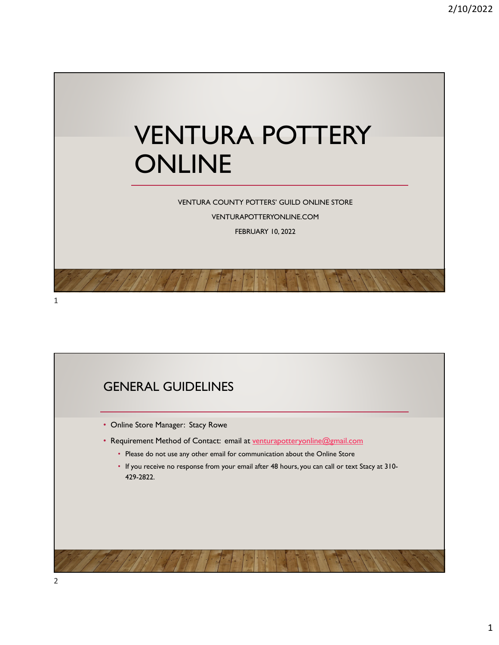

VENTURA COUNTY POTTERS' GUILD ONLINE STORE

VENTURAPOTTERYONLINE.COM FEBRUARY 10, 2022

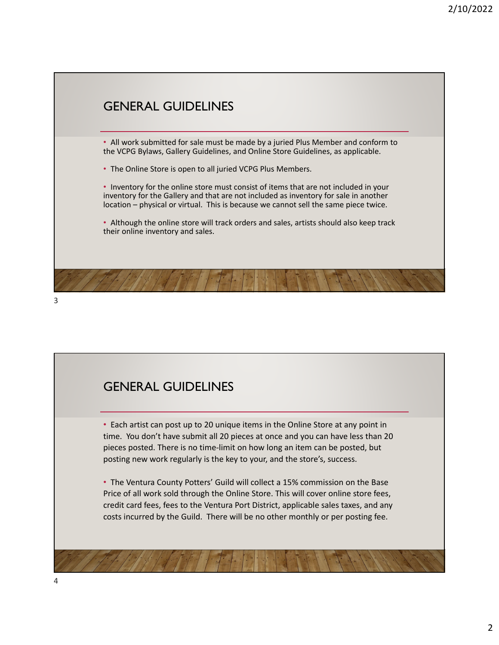

### GENERAL GUIDELINES

• Each artist can post up to 20 unique items in the Online Store at any point in time. You don't have submit all 20 pieces at once and you can have less than 20 pieces posted. There is no time‐limit on how long an item can be posted, but posting new work regularly is the key to your, and the store's, success.

• The Ventura County Potters' Guild will collect a 15% commission on the Base Price of all work sold through the Online Store. This will cover online store fees, credit card fees, fees to the Ventura Port District, applicable sales taxes, and any costs incurred by the Guild. There will be no other monthly or per posting fee.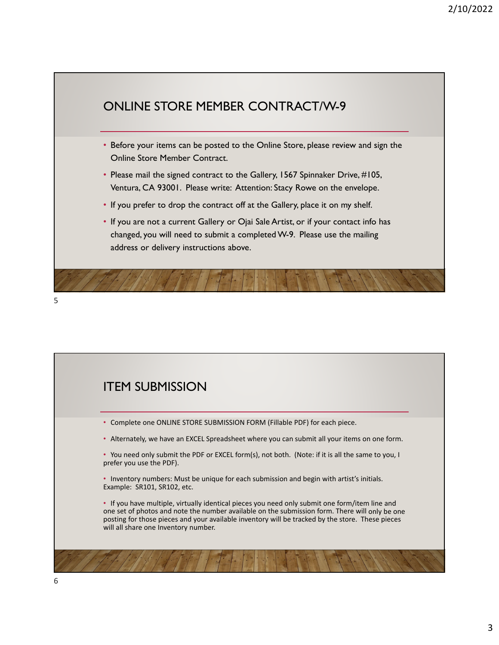



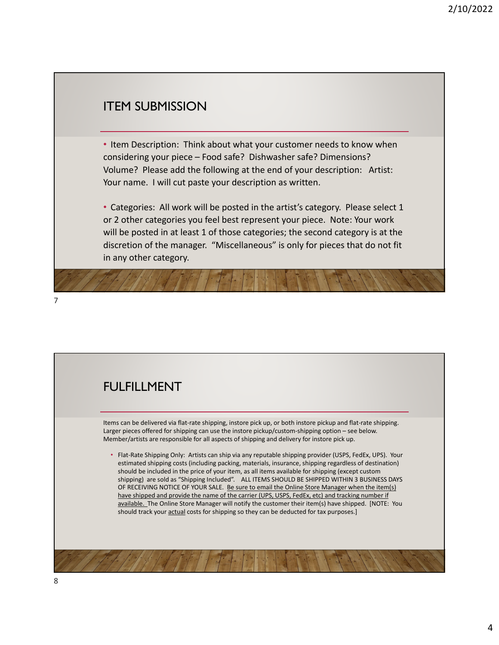#### ITEM SUBMISSION

• Item Description: Think about what your customer needs to know when considering your piece – Food safe? Dishwasher safe? Dimensions? Volume? Please add the following at the end of your description: Artist: Your name. I will cut paste your description as written.

• Categories: All work will be posted in the artist's category. Please select 1 or 2 other categories you feel best represent your piece. Note: Your work will be posted in at least 1 of those categories; the second category is at the discretion of the manager. "Miscellaneous" is only for pieces that do not fit in any other category.



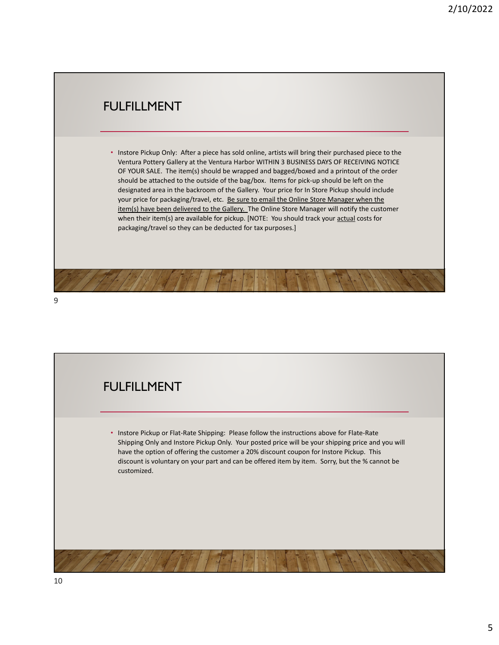### FULFILLMENT

• Instore Pickup Only: After a piece has sold online, artists will bring their purchased piece to the Ventura Pottery Gallery at the Ventura Harbor WITHIN 3 BUSINESS DAYS OF RECEIVING NOTICE OF YOUR SALE. The item(s) should be wrapped and bagged/boxed and a printout of the order should be attached to the outside of the bag/box. Items for pick‐up should be left on the designated area in the backroom of the Gallery. Your price for In Store Pickup should include your price for packaging/travel, etc. Be sure to email the Online Store Manager when the item(s) have been delivered to the Gallery. The Online Store Manager will notify the customer when their item(s) are available for pickup. [NOTE: You should track your **actual** costs for packaging/travel so they can be deducted for tax purposes.]

9

# FULFILLMENT • Instore Pickup or Flat‐Rate Shipping: Please follow the instructions above for Flate‐Rate Shipping Only and Instore Pickup Only. Your posted price will be your shipping price and you will have the option of offering the customer a 20% discount coupon for Instore Pickup. This discount is voluntary on your part and can be offered item by item. Sorry, but the % cannot be customized.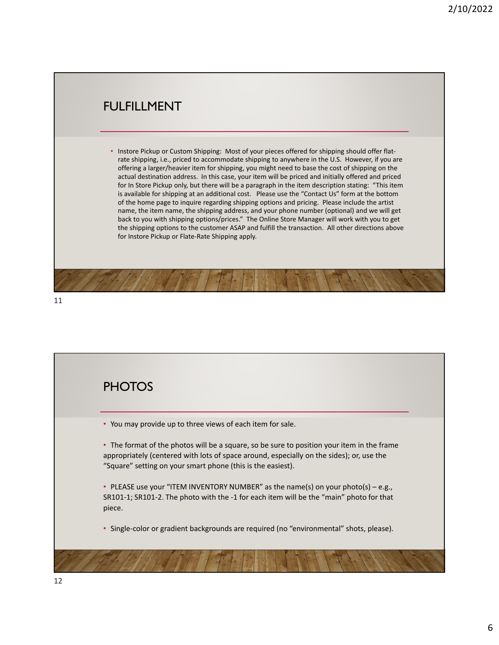### FULFILLMENT

• Instore Pickup or Custom Shipping: Most of your pieces offered for shipping should offer flat‐ rate shipping, i.e., priced to accommodate shipping to anywhere in the U.S. However, if you are offering a larger/heavier item for shipping, you might need to base the cost of shipping on the actual destination address. In this case, your item will be priced and initially offered and priced for In Store Pickup only, but there will be a paragraph in the item description stating: "This item is available for shipping at an additional cost. Please use the "Contact Us" form at the bottom of the home page to inquire regarding shipping options and pricing. Please include the artist name, the item name, the shipping address, and your phone number (optional) and we will get back to you with shipping options/prices." The Online Store Manager will work with you to get the shipping options to the customer ASAP and fulfill the transaction. All other directions above for Instore Pickup or Flate‐Rate Shipping apply.

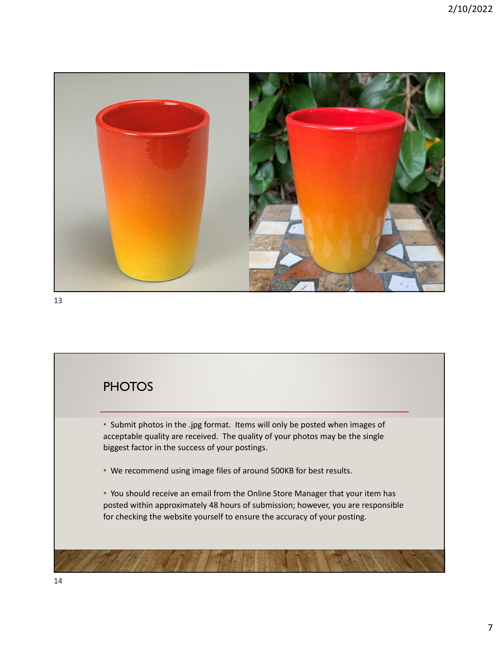

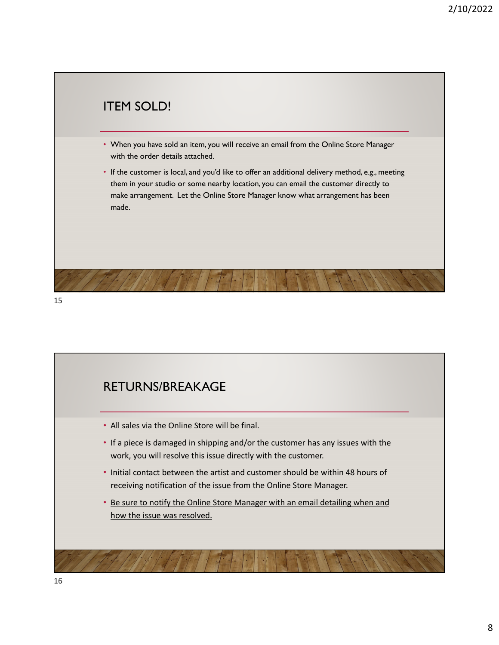

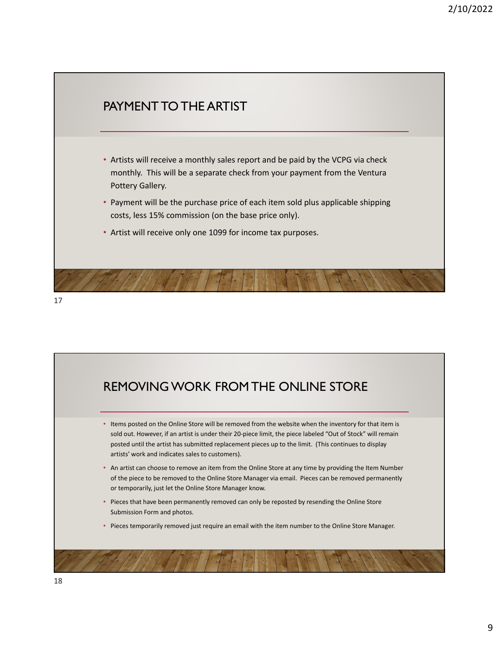

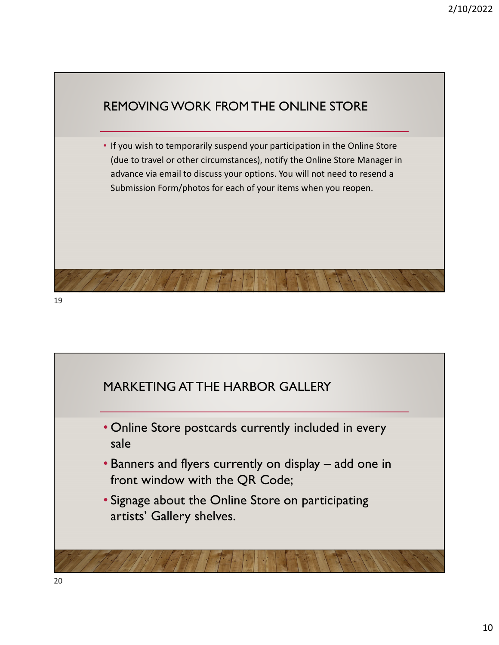

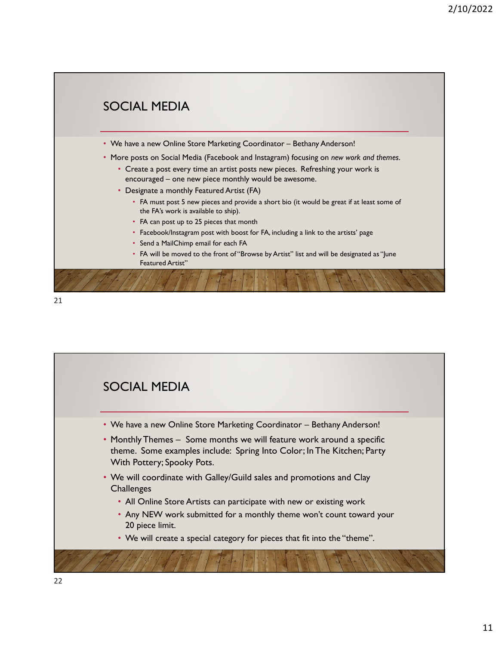